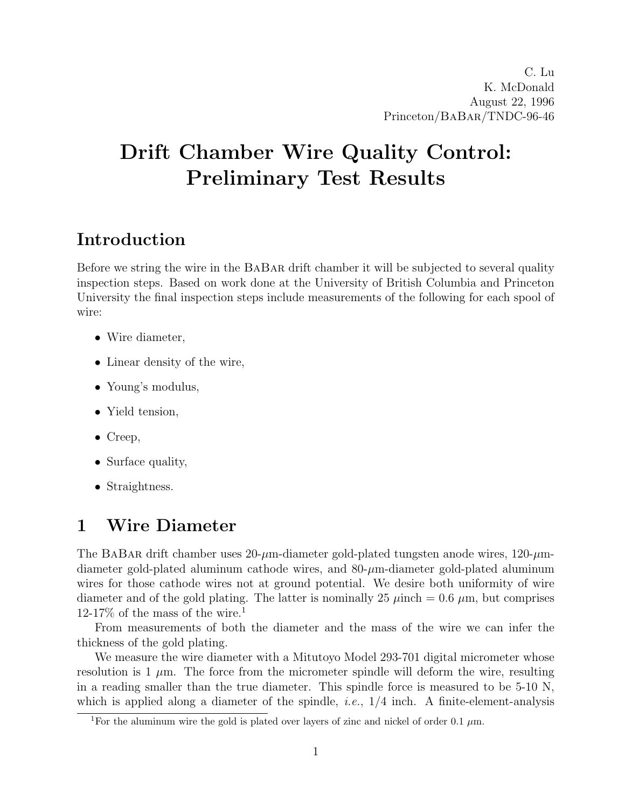# Drift Chamber Wire Quality Control: Preliminary Test Results

# Introduction

Before we string the wire in the BaBar drift chamber it will be subjected to several quality inspection steps. Based on work done at the University of British Columbia and Princeton University the final inspection steps include measurements of the following for each spool of wire:

- Wire diameter,
- Linear density of the wire,
- Young's modulus,
- Yield tension,
- Creep,
- Surface quality,
- Straightness.

# 1 Wire Diameter

The BABAR drift chamber uses  $20-\mu$ m-diameter gold-plated tungsten anode wires, 120- $\mu$ mdiameter gold-plated aluminum cathode wires, and  $80-\mu$ m-diameter gold-plated aluminum wires for those cathode wires not at ground potential. We desire both uniformity of wire diameter and of the gold plating. The latter is nominally 25  $\mu$ inch = 0.6  $\mu$ m, but comprises  $12-17\%$  of the mass of the wire.<sup>1</sup>

From measurements of both the diameter and the mass of the wire we can infer the thickness of the gold plating.

We measure the wire diameter with a Mitutoyo Model 293-701 digital micrometer whose resolution is 1  $\mu$ m. The force from the micrometer spindle will deform the wire, resulting in a reading smaller than the true diameter. This spindle force is measured to be 5-10 N, which is applied along a diameter of the spindle, *i.e.*,  $1/4$  inch. A finite-element-analysis

<sup>&</sup>lt;sup>1</sup>For the aluminum wire the gold is plated over layers of zinc and nickel of order 0.1  $\mu$ m.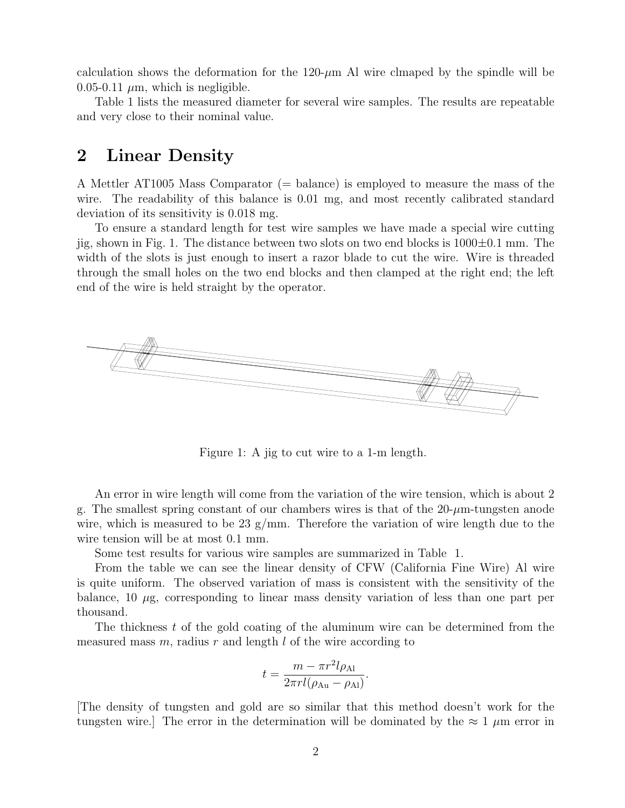calculation shows the deformation for the  $120-\mu m$  Al wire clmaped by the spindle will be 0.05-0.11  $\mu$ m, which is negligible.

Table 1 lists the measured diameter for several wire samples. The results are repeatable and very close to their nominal value.

### 2 Linear Density

A Mettler AT1005 Mass Comparator (= balance) is employed to measure the mass of the wire. The readability of this balance is 0.01 mg, and most recently calibrated standard deviation of its sensitivity is 0.018 mg.

To ensure a standard length for test wire samples we have made a special wire cutting jig, shown in Fig. 1. The distance between two slots on two end blocks is  $1000 \pm 0.1$  mm. The width of the slots is just enough to insert a razor blade to cut the wire. Wire is threaded through the small holes on the two end blocks and then clamped at the right end; the left end of the wire is held straight by the operator.



Figure 1: A jig to cut wire to a 1-m length.

An error in wire length will come from the variation of the wire tension, which is about 2 g. The smallest spring constant of our chambers wires is that of the  $20-\mu m$ -tungsten anode wire, which is measured to be 23  $g/\text{mm}$ . Therefore the variation of wire length due to the wire tension will be at most 0.1 mm.

Some test results for various wire samples are summarized in Table 1.

From the table we can see the linear density of CFW (California Fine Wire) Al wire is quite uniform. The observed variation of mass is consistent with the sensitivity of the balance,  $10 \mu$ g, corresponding to linear mass density variation of less than one part per thousand.

The thickness  $t$  of the gold coating of the aluminum wire can be determined from the measured mass  $m$ , radius  $r$  and length  $l$  of the wire according to

$$
t = \frac{m - \pi r^2 l \rho_{\text{Al}}}{2\pi r l (\rho_{\text{Au}} - \rho_{\text{Al}})}.
$$

[The density of tungsten and gold are so similar that this method doesn't work for the tungsten wire. The error in the determination will be dominated by the  $\approx 1 \mu m$  error in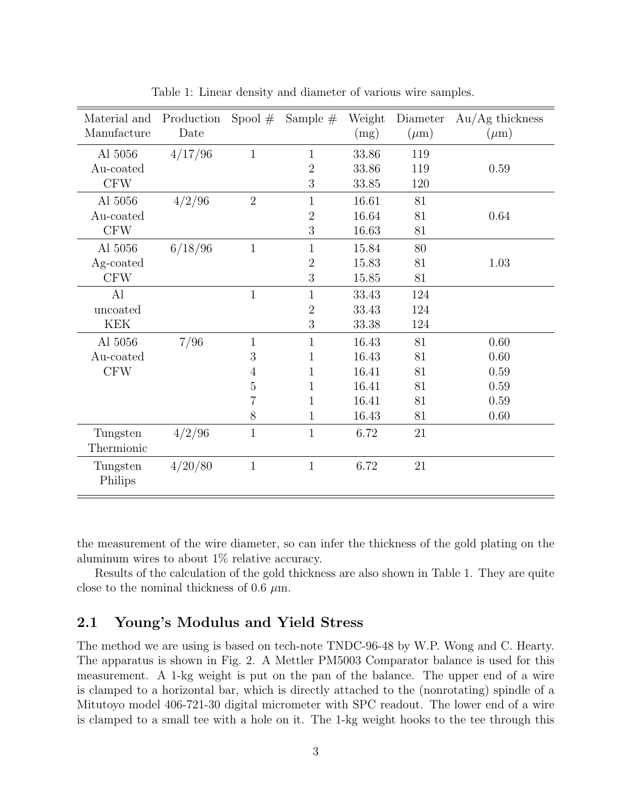| Material and<br>Manufacture        | Production<br>Date | Spool $#$                                          | Sample $#$                                                  | Weight<br>(mg)                                     | Diameter<br>$(\mu m)$            | $Au/Ag$ thickness<br>$(\mu m)$               |
|------------------------------------|--------------------|----------------------------------------------------|-------------------------------------------------------------|----------------------------------------------------|----------------------------------|----------------------------------------------|
| Al 5056<br>Au-coated<br><b>CFW</b> | 4/17/96            | $\mathbf{1}$                                       | 1<br>$\overline{2}$<br>3                                    | 33.86<br>33.86<br>33.85                            | 119<br>119<br>120                | 0.59                                         |
| Al 5056<br>Au-coated<br><b>CFW</b> | 4/2/96             | $\overline{2}$                                     | $\mathbf{1}$<br>$\overline{2}$<br>3                         | 16.61<br>16.64<br>16.63                            | 81<br>81<br>81                   | 0.64                                         |
| Al 5056<br>Ag-coated<br><b>CFW</b> | 6/18/96            | $\mathbf{1}$                                       | $\mathbf{1}$<br>$\overline{2}$<br>3                         | 15.84<br>15.83<br>15.85                            | 80<br>81<br>81                   | 1.03                                         |
| Al<br>uncoated<br><b>KEK</b>       |                    | $\mathbf{1}$                                       | $\mathbf{1}$<br>$\overline{2}$<br>3                         | 33.43<br>33.43<br>33.38                            | 124<br>124<br>124                |                                              |
| Al 5056<br>Au-coated<br><b>CFW</b> | 7/96               | $\mathbf{1}$<br>3<br>4<br>5<br>$\overline{7}$<br>8 | $\mathbf{1}$<br>1<br>1<br>$\mathbf{1}$<br>1<br>$\mathbf{1}$ | 16.43<br>16.43<br>16.41<br>16.41<br>16.41<br>16.43 | 81<br>81<br>81<br>81<br>81<br>81 | 0.60<br>0.60<br>0.59<br>0.59<br>0.59<br>0.60 |
| Tungsten<br>Thermionic             | 4/2/96             | $\mathbf 1$                                        | $\,1\,$                                                     | 6.72                                               | $21\,$                           |                                              |
| Tungsten<br>Philips                | 4/20/80            | $\mathbf{1}$                                       | $\mathbf{1}$                                                | 6.72                                               | 21                               |                                              |

Table 1: Linear density and diameter of various wire samples.

the measurement of the wire diameter, so can infer the thickness of the gold plating on the aluminum wires to about 1% relative accuracy.

Results of the calculation of the gold thickness are also shown in Table 1. They are quite close to the nominal thickness of 0.6  $\mu$ m.

#### 2.1 Young's Modulus and Yield Stress

The method we are using is based on tech-note TNDC-96-48 by W.P. Wong and C. Hearty. The apparatus is shown in Fig. 2. A Mettler PM5003 Comparator balance is used for this measurement. A 1-kg weight is put on the pan of the balance. The upper end of a wire is clamped to a horizontal bar, which is directly attached to the (nonrotating) spindle of a Mitutoyo model 406-721-30 digital micrometer with SPC readout. The lower end of a wire is clamped to a small tee with a hole on it. The 1-kg weight hooks to the tee through this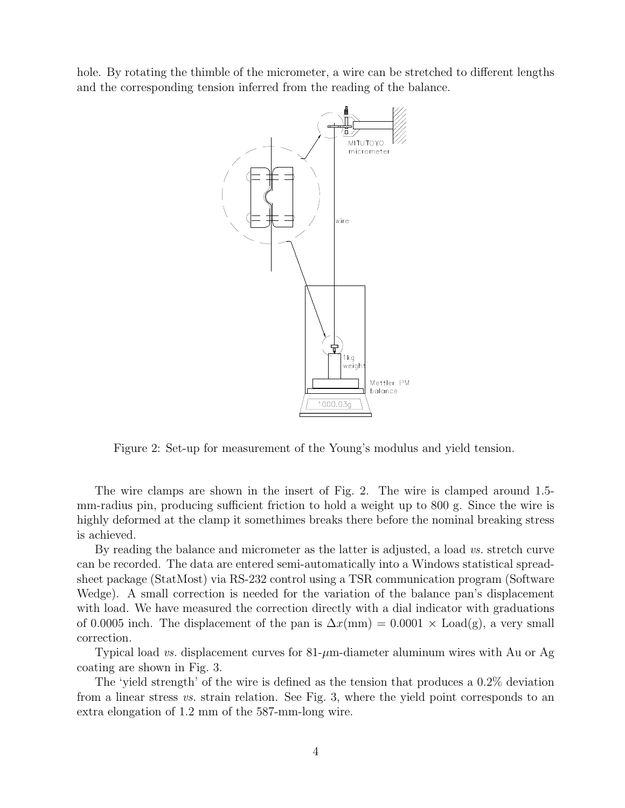hole. By rotating the thimble of the micrometer, a wire can be stretched to different lengths and the corresponding tension inferred from the reading of the balance.



Figure 2: Set-up for measurement of the Young's modulus and yield tension.

The wire clamps are shown in the insert of Fig. 2. The wire is clamped around 1.5 mm-radius pin, producing sufficient friction to hold a weight up to 800 g. Since the wire is highly deformed at the clamp it somethimes breaks there before the nominal breaking stress is achieved.

By reading the balance and micrometer as the latter is adjusted, a load vs. stretch curve can be recorded. The data are entered semi-automatically into a Windows statistical spreadsheet package (StatMost) via RS-232 control using a TSR communication program (Software Wedge). A small correction is needed for the variation of the balance pan's displacement with load. We have measured the correction directly with a dial indicator with graduations of 0.0005 inch. The displacement of the pan is  $\Delta x$ (mm) = 0.0001 × Load(g), a very small correction.

Typical load *vs.* displacement curves for  $81-\mu m$ -diameter aluminum wires with Au or Ag coating are shown in Fig. 3.

The 'yield strength' of the wire is defined as the tension that produces a 0.2% deviation from a linear stress vs. strain relation. See Fig. 3, where the yield point corresponds to an extra elongation of 1.2 mm of the 587-mm-long wire.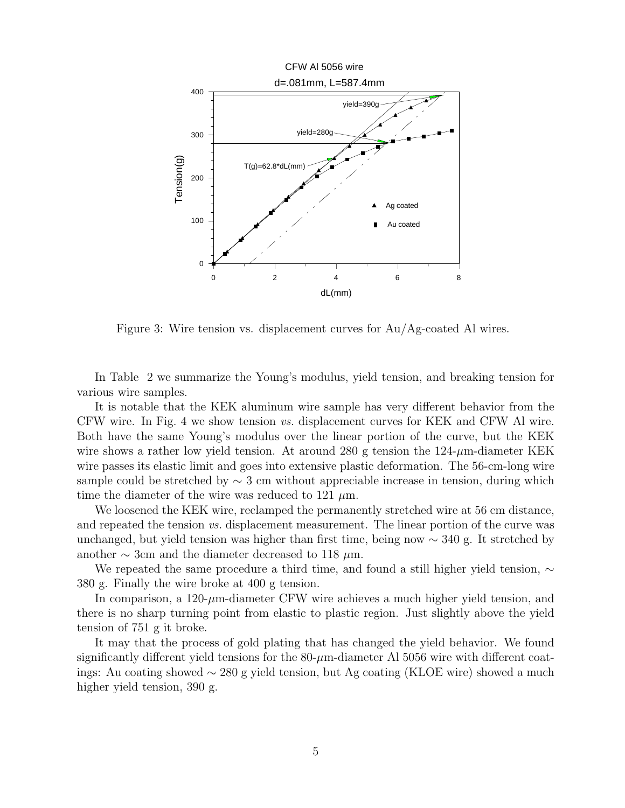

Figure 3: Wire tension vs. displacement curves for Au/Ag-coated Al wires.

In Table 2 we summarize the Young's modulus, yield tension, and breaking tension for various wire samples.

It is notable that the KEK aluminum wire sample has very different behavior from the CFW wire. In Fig. 4 we show tension vs. displacement curves for KEK and CFW Al wire. Both have the same Young's modulus over the linear portion of the curve, but the KEK wire shows a rather low yield tension. At around 280 g tension the  $124-\mu m$ -diameter KEK wire passes its elastic limit and goes into extensive plastic deformation. The 56-cm-long wire sample could be stretched by  $\sim$  3 cm without appreciable increase in tension, during which time the diameter of the wire was reduced to 121  $\mu$ m.

We loosened the KEK wire, reclamped the permanently stretched wire at 56 cm distance, and repeated the tension vs. displacement measurement. The linear portion of the curve was unchanged, but yield tension was higher than first time, being now  $\sim$  340 g. It stretched by another  $\sim$  3cm and the diameter decreased to 118  $\mu$ m.

We repeated the same procedure a third time, and found a still higher yield tension,  $\sim$ 380 g. Finally the wire broke at 400 g tension.

In comparison, a  $120-\mu m$ -diameter CFW wire achieves a much higher yield tension, and there is no sharp turning point from elastic to plastic region. Just slightly above the yield tension of 751 g it broke.

It may that the process of gold plating that has changed the yield behavior. We found significantly different yield tensions for the  $80-\mu m$ -diameter Al 5056 wire with different coatings: Au coating showed ∼ 280 g yield tension, but Ag coating (KLOE wire) showed a much higher yield tension, 390 g.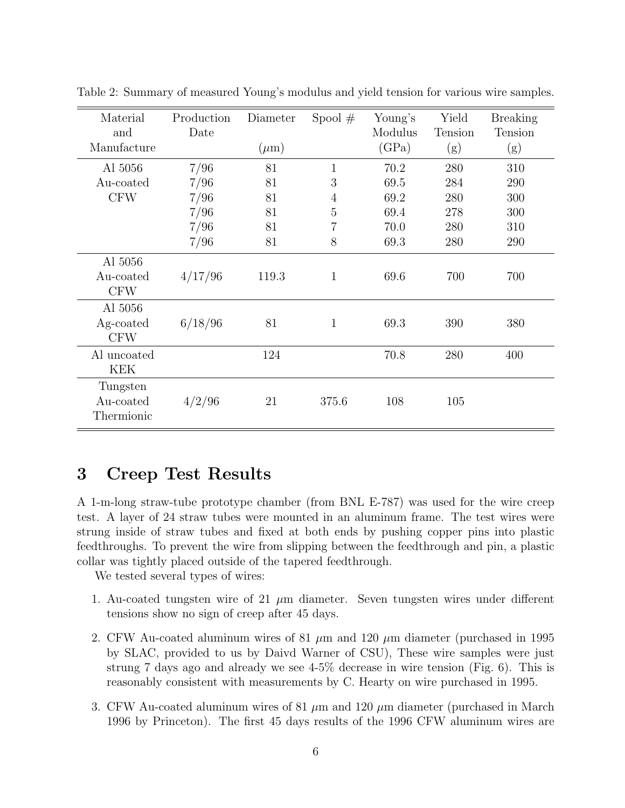| Material<br>and<br>Manufacture      | Production<br>Date | Diameter<br>$(\mu m)$ | Spool $#$      | Young's<br>Modulus<br>(GPa) | Yield<br>Tension<br>(g) | <b>Breaking</b><br>Tension<br>(g) |
|-------------------------------------|--------------------|-----------------------|----------------|-----------------------------|-------------------------|-----------------------------------|
| Al 5056                             | 7/96               | 81                    | $\mathbf{1}$   | 70.2                        | 280                     | 310                               |
| Au-coated                           | 7/96               | 81                    | 3              | 69.5                        | 284                     | 290                               |
| <b>CFW</b>                          | 7/96               | 81                    | $\overline{4}$ | 69.2                        | 280                     | 300                               |
|                                     | 7/96               | 81                    | $\overline{5}$ | 69.4                        | 278                     | 300                               |
|                                     | 7/96               | 81                    | 7              | 70.0                        | 280                     | 310                               |
|                                     | 7/96               | 81                    | 8              | 69.3                        | 280                     | 290                               |
| Al 5056<br>Au-coated<br><b>CFW</b>  | 4/17/96            | 119.3                 | $\mathbf 1$    | 69.6                        | 700                     | 700                               |
| Al 5056<br>Ag-coated<br><b>CFW</b>  | 6/18/96            | 81                    | $\mathbf 1$    | 69.3                        | 390                     | 380                               |
| Al uncoated<br>KEK                  |                    | 124                   |                | 70.8                        | 280                     | 400                               |
| Tungsten<br>Au-coated<br>Thermionic | 4/2/96             | 21                    | 375.6          | 108                         | 105                     |                                   |

Table 2: Summary of measured Young's modulus and yield tension for various wire samples.

## 3 Creep Test Results

A 1-m-long straw-tube prototype chamber (from BNL E-787) was used for the wire creep test. A layer of 24 straw tubes were mounted in an aluminum frame. The test wires were strung inside of straw tubes and fixed at both ends by pushing copper pins into plastic feedthroughs. To prevent the wire from slipping between the feedthrough and pin, a plastic collar was tightly placed outside of the tapered feedthrough.

We tested several types of wires:

- 1. Au-coated tungsten wire of 21  $\mu$ m diameter. Seven tungsten wires under different tensions show no sign of creep after 45 days.
- 2. CFW Au-coated aluminum wires of 81  $\mu$ m and 120  $\mu$ m diameter (purchased in 1995 by SLAC, provided to us by Daivd Warner of CSU), These wire samples were just strung 7 days ago and already we see 4-5% decrease in wire tension (Fig. 6). This is reasonably consistent with measurements by C. Hearty on wire purchased in 1995.
- 3. CFW Au-coated aluminum wires of 81  $\mu$ m and 120  $\mu$ m diameter (purchased in March 1996 by Princeton). The first 45 days results of the 1996 CFW aluminum wires are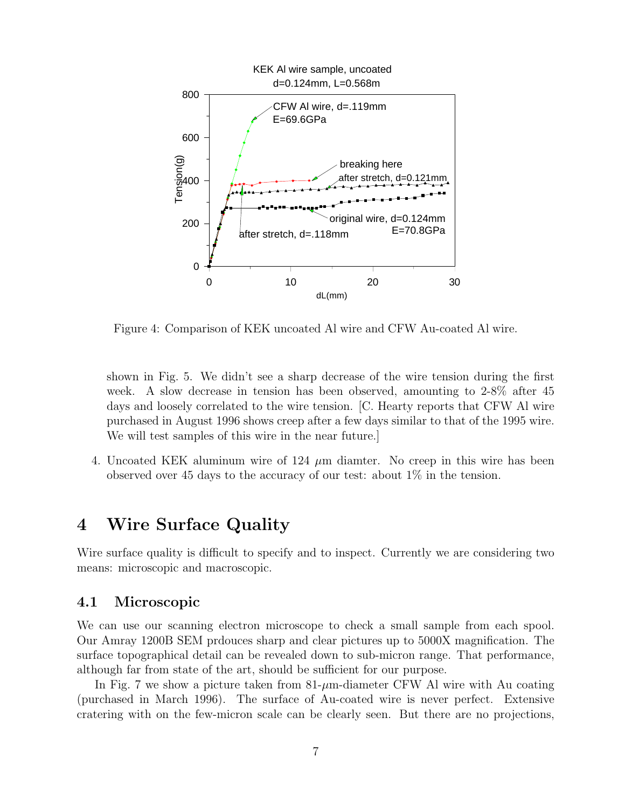

Figure 4: Comparison of KEK uncoated Al wire and CFW Au-coated Al wire.

shown in Fig. 5. We didn't see a sharp decrease of the wire tension during the first week. A slow decrease in tension has been observed, amounting to 2-8% after 45 days and loosely correlated to the wire tension. [C. Hearty reports that CFW Al wire purchased in August 1996 shows creep after a few days similar to that of the 1995 wire. We will test samples of this wire in the near future.]

4. Uncoated KEK aluminum wire of 124  $\mu$ m diamter. No creep in this wire has been observed over 45 days to the accuracy of our test: about 1% in the tension.

#### 4 Wire Surface Quality

Wire surface quality is difficult to specify and to inspect. Currently we are considering two means: microscopic and macroscopic.

#### 4.1 Microscopic

We can use our scanning electron microscope to check a small sample from each spool. Our Amray 1200B SEM prdouces sharp and clear pictures up to 5000X magnification. The surface topographical detail can be revealed down to sub-micron range. That performance, although far from state of the art, should be sufficient for our purpose.

In Fig. 7 we show a picture taken from  $81-\mu m$ -diameter CFW Al wire with Au coating (purchased in March 1996). The surface of Au-coated wire is never perfect. Extensive cratering with on the few-micron scale can be clearly seen. But there are no projections,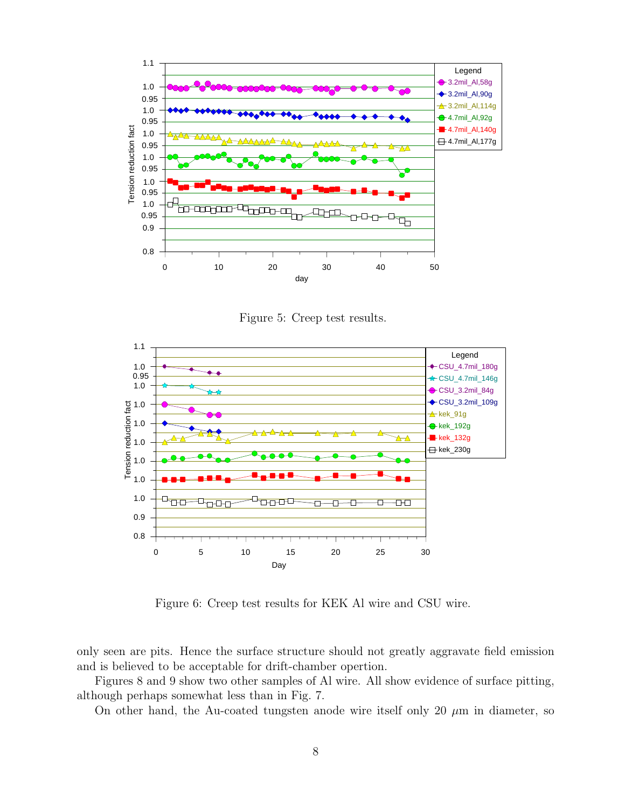

Figure 5: Creep test results.



Figure 6: Creep test results for KEK Al wire and CSU wire.

only seen are pits. Hence the surface structure should not greatly aggravate field emission and is believed to be acceptable for drift-chamber opertion.

Figures 8 and 9 show two other samples of Al wire. All show evidence of surface pitting, although perhaps somewhat less than in Fig. 7.

On other hand, the Au-coated tungsten anode wire itself only 20  $\mu$ m in diameter, so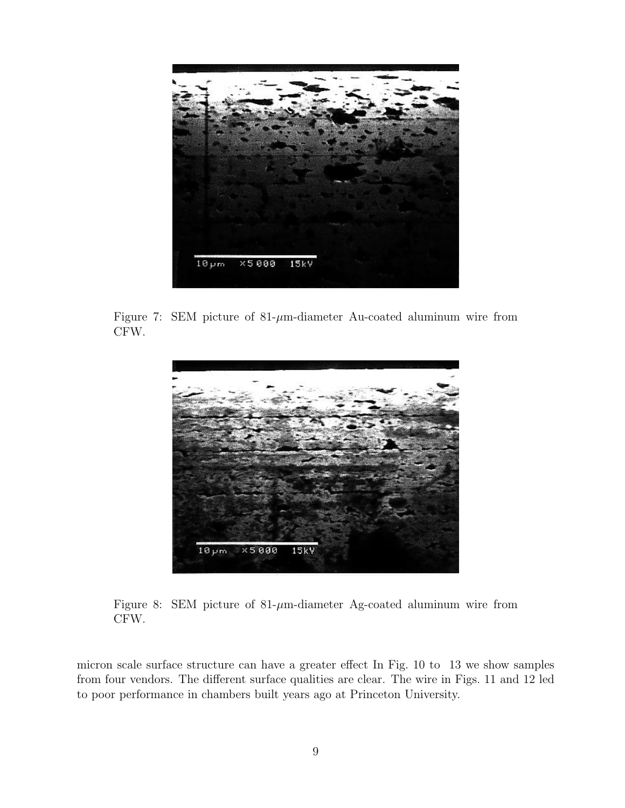

Figure 7: SEM picture of  $81-\mu$ m-diameter Au-coated aluminum wire from CFW.



Figure 8: SEM picture of  $81-\mu$ m-diameter Ag-coated aluminum wire from CFW.

micron scale surface structure can have a greater effect In Fig. 10 to 13 we show samples from four vendors. The different surface qualities are clear. The wire in Figs. 11 and 12 led to poor performance in chambers built years ago at Princeton University.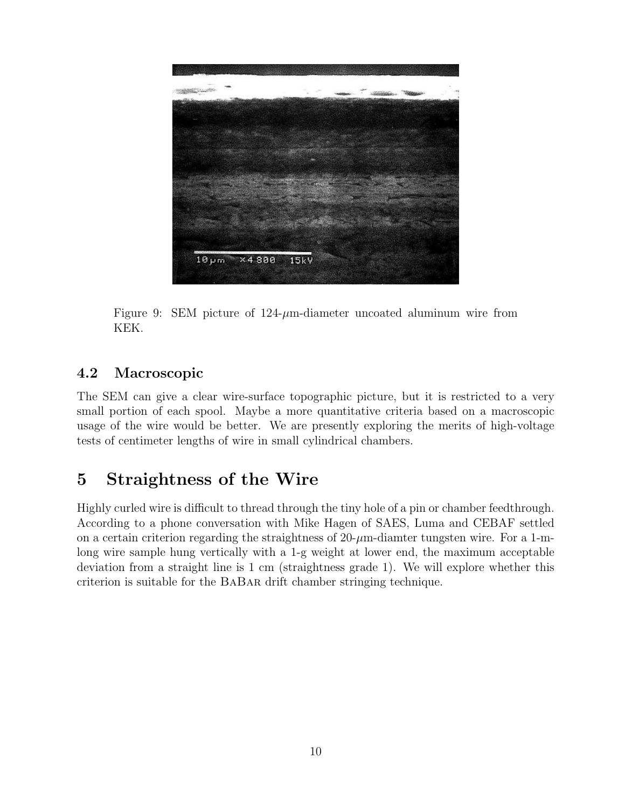

Figure 9: SEM picture of  $124-\mu$ m-diameter uncoated aluminum wire from KEK.

#### 4.2 Macroscopic

The SEM can give a clear wire-surface topographic picture, but it is restricted to a very small portion of each spool. Maybe a more quantitative criteria based on a macroscopic usage of the wire would be better. We are presently exploring the merits of high-voltage tests of centimeter lengths of wire in small cylindrical chambers.

## 5 Straightness of the Wire

Highly curled wire is difficult to thread through the tiny hole of a pin or chamber feedthrough. According to a phone conversation with Mike Hagen of SAES, Luma and CEBAF settled on a certain criterion regarding the straightness of  $20$ - $\mu$ m-diamter tungsten wire. For a 1-mlong wire sample hung vertically with a 1-g weight at lower end, the maximum acceptable deviation from a straight line is 1 cm (straightness grade 1). We will explore whether this criterion is suitable for the BaBar drift chamber stringing technique.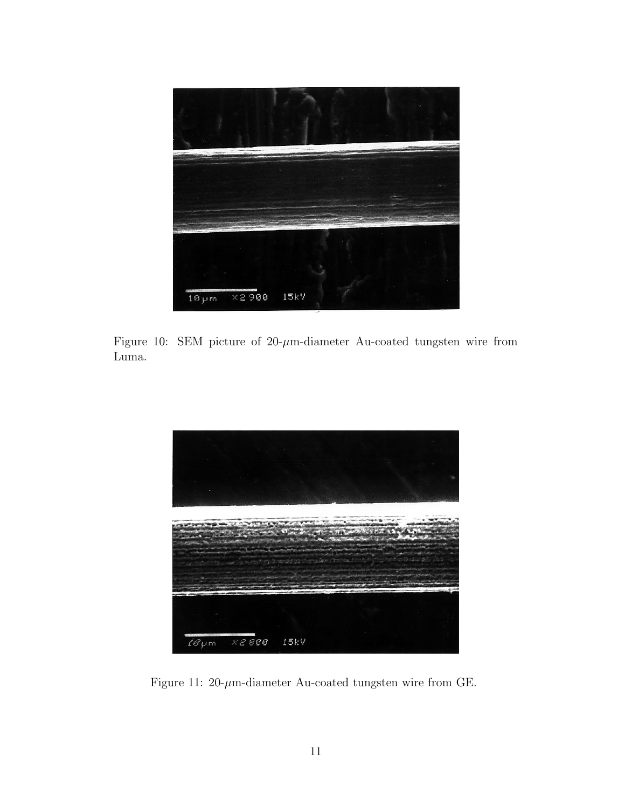

Figure 10: SEM picture of  $20$ - $\mu$ m-diameter Au-coated tungsten wire from Luma.



Figure 11: 20- $\mu$ m-diameter Au-coated tungsten wire from GE.